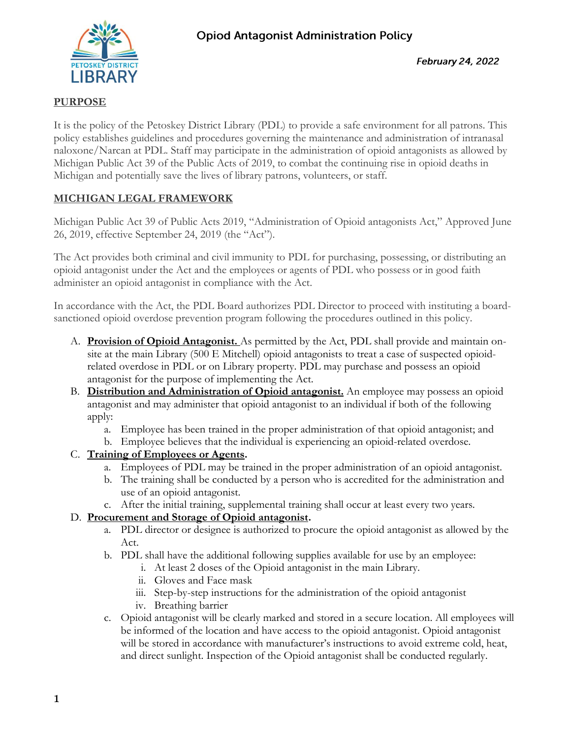

# **PURPOSE**

It is the policy of the Petoskey District Library (PDL) to provide a safe environment for all patrons. This policy establishes guidelines and procedures governing the maintenance and administration of intranasal naloxone/Narcan at PDL. Staff may participate in the administration of opioid antagonists as allowed by Michigan Public Act 39 of the Public Acts of 2019, to combat the continuing rise in opioid deaths in Michigan and potentially save the lives of library patrons, volunteers, or staff.

# **MICHIGAN LEGAL FRAMEWORK**

Michigan Public Act 39 of Public Acts 2019, "Administration of Opioid antagonists Act," Approved June 26, 2019, effective September 24, 2019 (the "Act").

The Act provides both criminal and civil immunity to PDL for purchasing, possessing, or distributing an opioid antagonist under the Act and the employees or agents of PDL who possess or in good faith administer an opioid antagonist in compliance with the Act.

In accordance with the Act, the PDL Board authorizes PDL Director to proceed with instituting a boardsanctioned opioid overdose prevention program following the procedures outlined in this policy.

- A. **Provision of Opioid Antagonist.** As permitted by the Act, PDL shall provide and maintain onsite at the main Library (500 E Mitchell) opioid antagonists to treat a case of suspected opioidrelated overdose in PDL or on Library property. PDL may purchase and possess an opioid antagonist for the purpose of implementing the Act.
- B. **Distribution and Administration of Opioid antagonist.** An employee may possess an opioid antagonist and may administer that opioid antagonist to an individual if both of the following apply:
	- a. Employee has been trained in the proper administration of that opioid antagonist; and
	- b. Employee believes that the individual is experiencing an opioid-related overdose.

# C. **Training of Employees or Agents.**

- a. Employees of PDL may be trained in the proper administration of an opioid antagonist.
- b. The training shall be conducted by a person who is accredited for the administration and use of an opioid antagonist.
- c. After the initial training, supplemental training shall occur at least every two years.

# D. **Procurement and Storage of Opioid antagonist.**

- a. PDL director or designee is authorized to procure the opioid antagonist as allowed by the Act.
- b. PDL shall have the additional following supplies available for use by an employee:
	- i. At least 2 doses of the Opioid antagonist in the main Library.
	- ii. Gloves and Face mask
	- iii. Step-by-step instructions for the administration of the opioid antagonist
	- iv. Breathing barrier
- c. Opioid antagonist will be clearly marked and stored in a secure location. All employees will be informed of the location and have access to the opioid antagonist. Opioid antagonist will be stored in accordance with manufacturer's instructions to avoid extreme cold, heat, and direct sunlight. Inspection of the Opioid antagonist shall be conducted regularly.